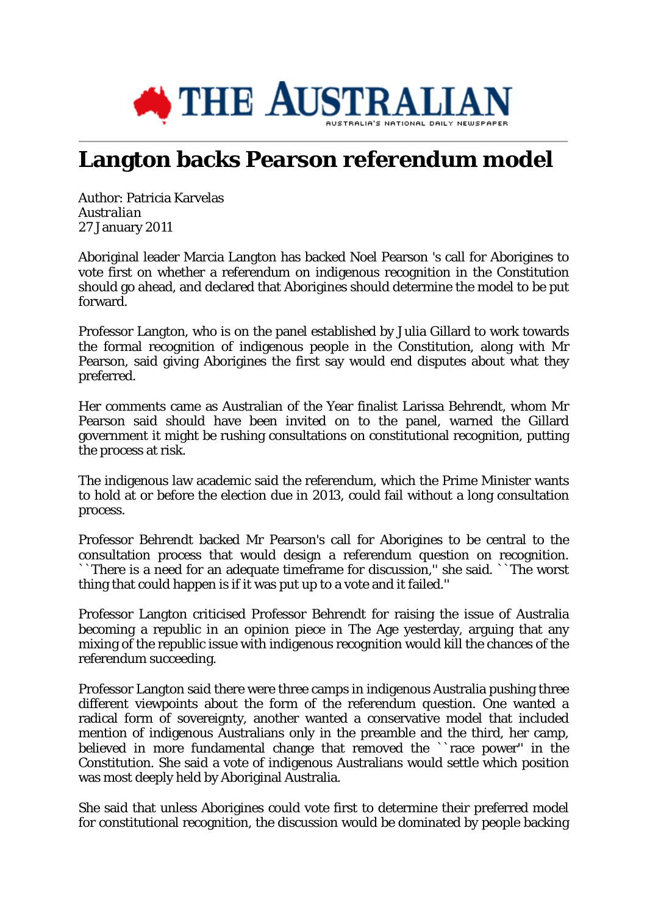

# **Langton backs Pearson referendum model**

Author: Patricia Karvelas *Australian* 27 January 2011

Aboriginal leader Marcia Langton has backed Noel Pearson 's call for Aborigines to vote first on whether a referendum on indigenous recognition in the Constitution should go ahead, and declared that Aborigines should determine the model to be put forward.

Professor Langton, who is on the panel established by Julia Gillard to work towards the formal recognition of indigenous people in the Constitution, along with Mr Pearson, said giving Aborigines the first say would end disputes about what they preferred.

Her comments came as Australian of the Year finalist Larissa Behrendt, whom Mr Pearson said should have been invited on to the panel, warned the Gillard government it might be rushing consultations on constitutional recognition, putting the process at risk.

The indigenous law academic said the referendum, which the Prime Minister wants to hold at or before the election due in 2013, could fail without a long consultation process.

Professor Behrendt backed Mr Pearson's call for Aborigines to be central to the consultation process that would design a referendum question on recognition. ``There is a need for an adequate timeframe for discussion,'' she said. ``The worst thing that could happen is if it was put up to a vote and it failed.''

Professor Langton criticised Professor Behrendt for raising the issue of Australia becoming a republic in an opinion piece in The Age yesterday, arguing that any mixing of the republic issue with indigenous recognition would kill the chances of the referendum succeeding.

Professor Langton said there were three camps in indigenous Australia pushing three different viewpoints about the form of the referendum question. One wanted a radical form of sovereignty, another wanted a conservative model that included mention of indigenous Australians only in the preamble and the third, her camp, believed in more fundamental change that removed the ``race power'' in the Constitution. She said a vote of indigenous Australians would settle which position was most deeply held by Aboriginal Australia.

She said that unless Aborigines could vote first to determine their preferred model for constitutional recognition, the discussion would be dominated by people backing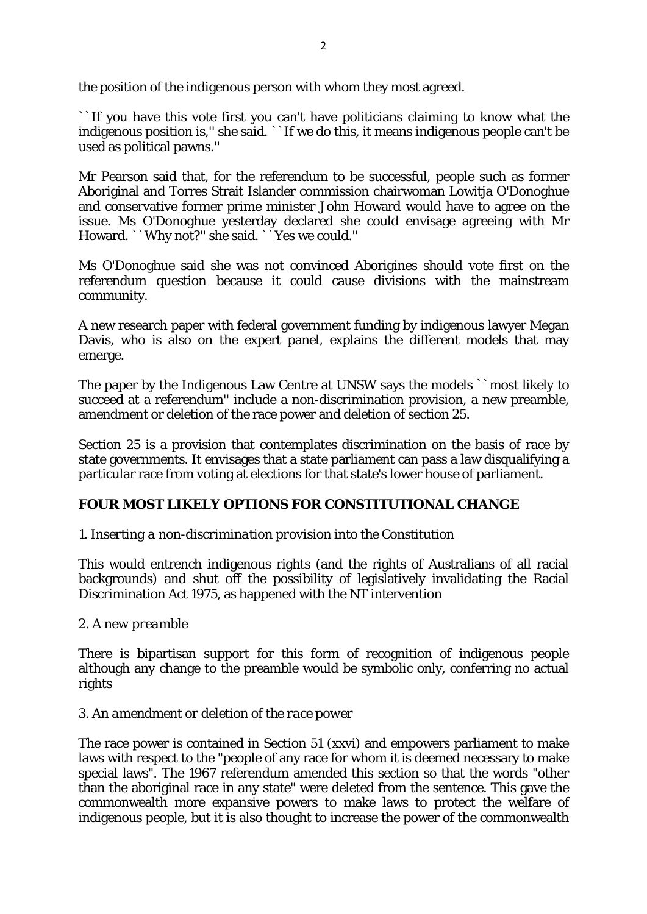the position of the indigenous person with whom they most agreed.

``If you have this vote first you can't have politicians claiming to know what the indigenous position is," she said. ``If we do this, it means indigenous people can't be used as political pawns.''

Mr Pearson said that, for the referendum to be successful, people such as former Aboriginal and Torres Strait Islander commission chairwoman Lowitja O'Donoghue and conservative former prime minister John Howard would have to agree on the issue. Ms O'Donoghue yesterday declared she could envisage agreeing with Mr Howard. ``Why not?'' she said. ``Yes we could.''

Ms O'Donoghue said she was not convinced Aborigines should vote first on the referendum question because it could cause divisions with the mainstream community.

A new research paper with federal government funding by indigenous lawyer Megan Davis, who is also on the expert panel, explains the different models that may emerge.

The paper by the Indigenous Law Centre at UNSW says the models ``most likely to succeed at a referendum'' include a non-discrimination provision, a new preamble, amendment or deletion of the race power and deletion of section 25.

Section 25 is a provision that contemplates discrimination on the basis of race by state governments. It envisages that a state parliament can pass a law disqualifying a particular race from voting at elections for that state's lower house of parliament.

# **FOUR MOST LIKELY OPTIONS FOR CONSTITUTIONAL CHANGE**

# *1. Inserting a non-discrimination provision into the Constitution*

This would entrench indigenous rights (and the rights of Australians of all racial backgrounds) and shut off the possibility of legislatively invalidating the Racial Discrimination Act 1975, as happened with the NT intervention

### *2. A new preamble*

There is bipartisan support for this form of recognition of indigenous people although any change to the preamble would be symbolic only, conferring no actual rights

### *3. An amendment or deletion of the race power*

The race power is contained in Section 51 (xxvi) and empowers parliament to make laws with respect to the "people of any race for whom it is deemed necessary to make special laws". The 1967 referendum amended this section so that the words "other than the aboriginal race in any state" were deleted from the sentence. This gave the commonwealth more expansive powers to make laws to protect the welfare of indigenous people, but it is also thought to increase the power of the commonwealth